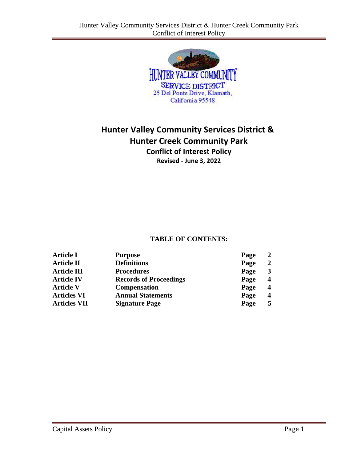

# **Hunter Valley Community Services District & Hunter Creek Community Park Conflict of Interest Policy**

**Revised - June 3, 2022**

## **TABLE OF CONTENTS:**

| <b>Article I</b>    | <b>Purpose</b>                | Page | $\mathbf{2}$            |
|---------------------|-------------------------------|------|-------------------------|
| <b>Article II</b>   | <b>Definitions</b>            | Page | $\overline{2}$          |
| <b>Article III</b>  | <b>Procedures</b>             | Page | $\boldsymbol{3}$        |
| <b>Article IV</b>   | <b>Records of Proceedings</b> | Page | $\overline{\mathbf{4}}$ |
| <b>Article V</b>    | <b>Compensation</b>           | Page | $\overline{\mathbf{4}}$ |
| <b>Articles VI</b>  | <b>Annual Statements</b>      | Page | $\overline{\mathbf{4}}$ |
| <b>Articles VII</b> | <b>Signature Page</b>         | Page | 5                       |
|                     |                               |      |                         |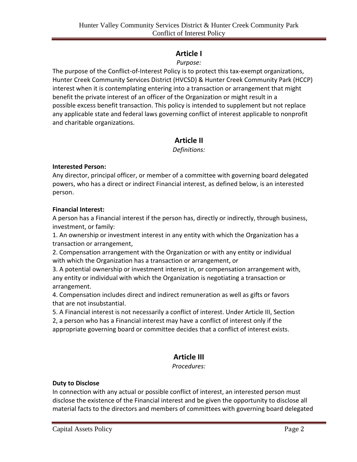## **Article I**

## *Purpose:*

The purpose of the Conflict-of-Interest Policy is to protect this tax-exempt organizations, Hunter Creek Community Services District (HVCSD) & Hunter Creek Community Park (HCCP) interest when it is contemplating entering into a transaction or arrangement that might benefit the private interest of an officer of the Organization or might result in a possible excess benefit transaction. This policy is intended to supplement but not replace any applicable state and federal laws governing conflict of interest applicable to nonprofit and charitable organizations.

## **Article II**

*Definitions:*

## **Interested Person:**

Any director, principal officer, or member of a committee with governing board delegated powers, who has a direct or indirect Financial interest, as defined below, is an interested person.

## **Financial Interest:**

A person has a Financial interest if the person has, directly or indirectly, through business, investment, or family:

1. An ownership or investment interest in any entity with which the Organization has a transaction or arrangement,

2. Compensation arrangement with the Organization or with any entity or individual with which the Organization has a transaction or arrangement, or

3. A potential ownership or investment interest in, or compensation arrangement with, any entity or individual with which the Organization is negotiating a transaction or arrangement.

4. Compensation includes direct and indirect remuneration as well as gifts or favors that are not insubstantial.

5. A Financial interest is not necessarily a conflict of interest. Under Article III, Section

2, a person who has a Financial interest may have a conflict of interest only if the

appropriate governing board or committee decides that a conflict of interest exists.

## **Article III**

*Procedures:*

## **Duty to Disclose**

In connection with any actual or possible conflict of interest, an interested person must disclose the existence of the Financial interest and be given the opportunity to disclose all material facts to the directors and members of committees with governing board delegated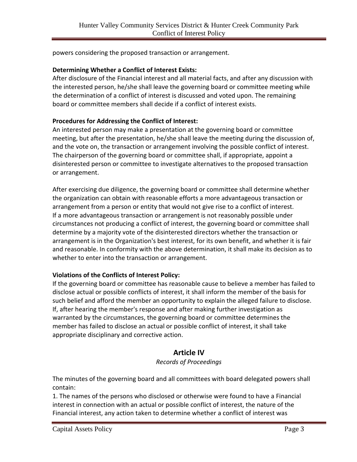powers considering the proposed transaction or arrangement.

#### **Determining Whether a Conflict of Interest Exists:**

After disclosure of the Financial interest and all material facts, and after any discussion with the interested person, he/she shall leave the governing board or committee meeting while the determination of a conflict of interest is discussed and voted upon. The remaining board or committee members shall decide if a conflict of interest exists.

#### **Procedures for Addressing the Conflict of Interest:**

An interested person may make a presentation at the governing board or committee meeting, but after the presentation, he/she shall leave the meeting during the discussion of, and the vote on, the transaction or arrangement involving the possible conflict of interest. The chairperson of the governing board or committee shall, if appropriate, appoint a disinterested person or committee to investigate alternatives to the proposed transaction or arrangement.

After exercising due diligence, the governing board or committee shall determine whether the organization can obtain with reasonable efforts a more advantageous transaction or arrangement from a person or entity that would not give rise to a conflict of interest. If a more advantageous transaction or arrangement is not reasonably possible under circumstances not producing a conflict of interest, the governing board or committee shall determine by a majority vote of the disinterested directors whether the transaction or arrangement is in the Organization's best interest, for its own benefit, and whether it is fair and reasonable. In conformity with the above determination, it shall make its decision as to whether to enter into the transaction or arrangement.

#### **Violations of the Conflicts of Interest Policy:**

If the governing board or committee has reasonable cause to believe a member has failed to disclose actual or possible conflicts of interest, it shall inform the member of the basis for such belief and afford the member an opportunity to explain the alleged failure to disclose. If, after hearing the member's response and after making further investigation as warranted by the circumstances, the governing board or committee determines the member has failed to disclose an actual or possible conflict of interest, it shall take appropriate disciplinary and corrective action.

## **Article IV**

#### *Records of Proceedings*

The minutes of the governing board and all committees with board delegated powers shall contain:

1. The names of the persons who disclosed or otherwise were found to have a Financial interest in connection with an actual or possible conflict of interest, the nature of the Financial interest, any action taken to determine whether a conflict of interest was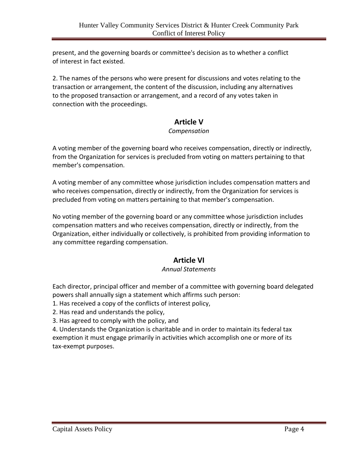present, and the governing boards or committee's decision as to whether a conflict of interest in fact existed.

2. The names of the persons who were present for discussions and votes relating to the transaction or arrangement, the content of the discussion, including any alternatives to the proposed transaction or arrangement, and a record of any votes taken in connection with the proceedings.

## **Article V**

#### *Compensation*

A voting member of the governing board who receives compensation, directly or indirectly, from the Organization for services is precluded from voting on matters pertaining to that member's compensation.

A voting member of any committee whose jurisdiction includes compensation matters and who receives compensation, directly or indirectly, from the Organization for services is precluded from voting on matters pertaining to that member's compensation.

No voting member of the governing board or any committee whose jurisdiction includes compensation matters and who receives compensation, directly or indirectly, from the Organization, either individually or collectively, is prohibited from providing information to any committee regarding compensation.

## **Article VI**

## *Annual Statements*

Each director, principal officer and member of a committee with governing board delegated powers shall annually sign a statement which affirms such person:

1. Has received a copy of the conflicts of interest policy,

2. Has read and understands the policy,

3. Has agreed to comply with the policy, and

4. Understands the Organization is charitable and in order to maintain its federal tax exemption it must engage primarily in activities which accomplish one or more of its tax-exempt purposes.